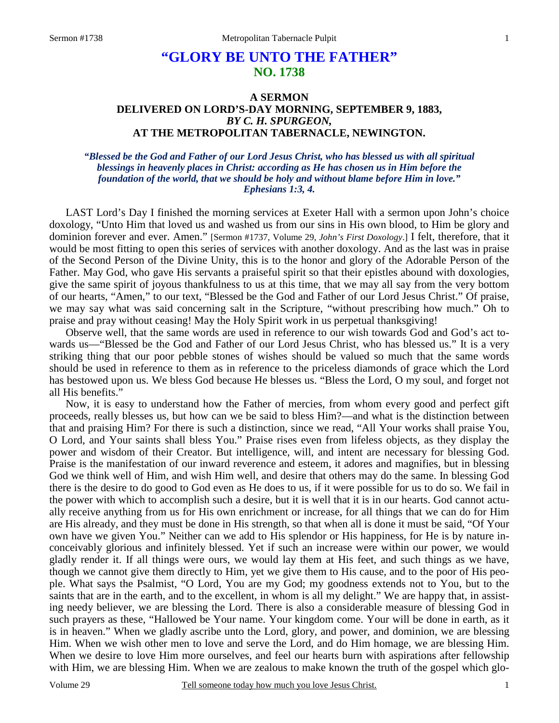# **"GLORY BE UNTO THE FATHER" NO. 1738**

# **A SERMON DELIVERED ON LORD'S-DAY MORNING, SEPTEMBER 9, 1883,** *BY C. H. SPURGEON,*  **AT THE METROPOLITAN TABERNACLE, NEWINGTON.**

### *"Blessed be the God and Father of our Lord Jesus Christ, who has blessed us with all spiritual blessings in heavenly places in Christ: according as He has chosen us in Him before the foundation of the world, that we should be holy and without blame before Him in love." Ephesians 1:3, 4.*

LAST Lord's Day I finished the morning services at Exeter Hall with a sermon upon John's choice doxology, "Unto Him that loved us and washed us from our sins in His own blood, to Him be glory and dominion forever and ever. Amen." [Sermon #1737, Volume 29, *John's First Doxology*.] I felt, therefore, that it would be most fitting to open this series of services with another doxology. And as the last was in praise of the Second Person of the Divine Unity, this is to the honor and glory of the Adorable Person of the Father. May God, who gave His servants a praiseful spirit so that their epistles abound with doxologies, give the same spirit of joyous thankfulness to us at this time, that we may all say from the very bottom of our hearts, "Amen," to our text, "Blessed be the God and Father of our Lord Jesus Christ." Of praise, we may say what was said concerning salt in the Scripture, "without prescribing how much." Oh to praise and pray without ceasing! May the Holy Spirit work in us perpetual thanksgiving!

 Observe well, that the same words are used in reference to our wish towards God and God's act towards us—"Blessed be the God and Father of our Lord Jesus Christ, who has blessed us." It is a very striking thing that our poor pebble stones of wishes should be valued so much that the same words should be used in reference to them as in reference to the priceless diamonds of grace which the Lord has bestowed upon us. We bless God because He blesses us. "Bless the Lord, O my soul, and forget not all His benefits."

 Now, it is easy to understand how the Father of mercies, from whom every good and perfect gift proceeds, really blesses us, but how can we be said to bless Him?—and what is the distinction between that and praising Him? For there is such a distinction, since we read, "All Your works shall praise You, O Lord, and Your saints shall bless You." Praise rises even from lifeless objects, as they display the power and wisdom of their Creator. But intelligence, will, and intent are necessary for blessing God. Praise is the manifestation of our inward reverence and esteem, it adores and magnifies, but in blessing God we think well of Him, and wish Him well, and desire that others may do the same. In blessing God there is the desire to do good to God even as He does to us, if it were possible for us to do so. We fail in the power with which to accomplish such a desire, but it is well that it is in our hearts. God cannot actually receive anything from us for His own enrichment or increase, for all things that we can do for Him are His already, and they must be done in His strength, so that when all is done it must be said, "Of Your own have we given You." Neither can we add to His splendor or His happiness, for He is by nature inconceivably glorious and infinitely blessed. Yet if such an increase were within our power, we would gladly render it. If all things were ours, we would lay them at His feet, and such things as we have, though we cannot give them directly to Him, yet we give them to His cause, and to the poor of His people. What says the Psalmist, "O Lord, You are my God; my goodness extends not to You, but to the saints that are in the earth, and to the excellent, in whom is all my delight." We are happy that, in assisting needy believer, we are blessing the Lord. There is also a considerable measure of blessing God in such prayers as these, "Hallowed be Your name. Your kingdom come. Your will be done in earth, as it is in heaven." When we gladly ascribe unto the Lord, glory, and power, and dominion, we are blessing Him. When we wish other men to love and serve the Lord, and do Him homage, we are blessing Him. When we desire to love Him more ourselves, and feel our hearts burn with aspirations after fellowship with Him, we are blessing Him. When we are zealous to make known the truth of the gospel which glo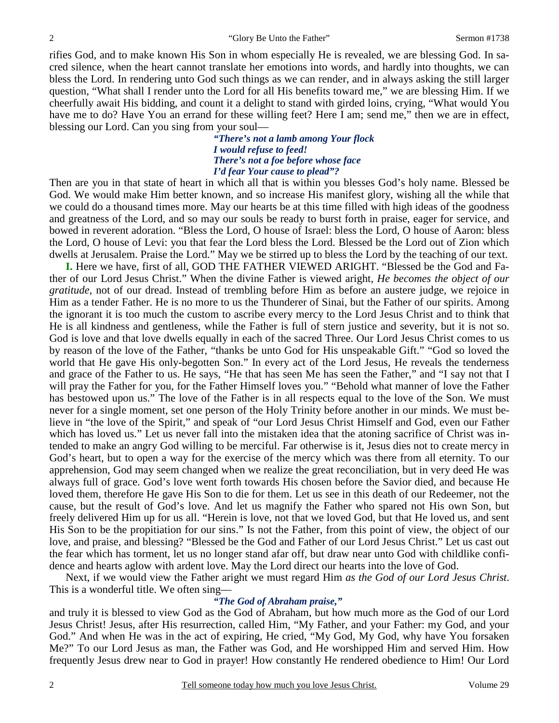rifies God, and to make known His Son in whom especially He is revealed, we are blessing God. In sacred silence, when the heart cannot translate her emotions into words, and hardly into thoughts, we can bless the Lord. In rendering unto God such things as we can render, and in always asking the still larger question, "What shall I render unto the Lord for all His benefits toward me," we are blessing Him. If we cheerfully await His bidding, and count it a delight to stand with girded loins, crying, "What would You have me to do? Have You an errand for these willing feet? Here I am; send me," then we are in effect, blessing our Lord. Can you sing from your soul—

> *"There's not a lamb among Your flock I would refuse to feed! There's not a foe before whose face I'd fear Your cause to plead"?*

Then are you in that state of heart in which all that is within you blesses God's holy name. Blessed be God. We would make Him better known, and so increase His manifest glory, wishing all the while that we could do a thousand times more. May our hearts be at this time filled with high ideas of the goodness and greatness of the Lord, and so may our souls be ready to burst forth in praise, eager for service, and bowed in reverent adoration. "Bless the Lord, O house of Israel: bless the Lord, O house of Aaron: bless the Lord, O house of Levi: you that fear the Lord bless the Lord. Blessed be the Lord out of Zion which dwells at Jerusalem. Praise the Lord." May we be stirred up to bless the Lord by the teaching of our text.

**I.** Here we have, first of all, GOD THE FATHER VIEWED ARIGHT. "Blessed be the God and Father of our Lord Jesus Christ." When the divine Father is viewed aright, *He becomes the object of our gratitude,* not of our dread. Instead of trembling before Him as before an austere judge, we rejoice in Him as a tender Father. He is no more to us the Thunderer of Sinai, but the Father of our spirits. Among the ignorant it is too much the custom to ascribe every mercy to the Lord Jesus Christ and to think that He is all kindness and gentleness, while the Father is full of stern justice and severity, but it is not so. God is love and that love dwells equally in each of the sacred Three. Our Lord Jesus Christ comes to us by reason of the love of the Father, "thanks be unto God for His unspeakable Gift." "God so loved the world that He gave His only-begotten Son." In every act of the Lord Jesus, He reveals the tenderness and grace of the Father to us. He says, "He that has seen Me has seen the Father," and "I say not that I will pray the Father for you, for the Father Himself loves you." "Behold what manner of love the Father has bestowed upon us." The love of the Father is in all respects equal to the love of the Son. We must never for a single moment, set one person of the Holy Trinity before another in our minds. We must believe in "the love of the Spirit," and speak of "our Lord Jesus Christ Himself and God, even our Father which has loved us." Let us never fall into the mistaken idea that the atoning sacrifice of Christ was intended to make an angry God willing to be merciful. Far otherwise is it, Jesus dies not to create mercy in God's heart, but to open a way for the exercise of the mercy which was there from all eternity. To our apprehension, God may seem changed when we realize the great reconciliation, but in very deed He was always full of grace. God's love went forth towards His chosen before the Savior died, and because He loved them, therefore He gave His Son to die for them. Let us see in this death of our Redeemer, not the cause, but the result of God's love. And let us magnify the Father who spared not His own Son, but freely delivered Him up for us all. "Herein is love, not that we loved God, but that He loved us, and sent His Son to be the propitiation for our sins." Is not the Father, from this point of view, the object of our love, and praise, and blessing? "Blessed be the God and Father of our Lord Jesus Christ." Let us cast out the fear which has torment, let us no longer stand afar off, but draw near unto God with childlike confidence and hearts aglow with ardent love. May the Lord direct our hearts into the love of God.

 Next, if we would view the Father aright we must regard Him *as the God of our Lord Jesus Christ*. This is a wonderful title. We often sing—

## *"The God of Abraham praise,"*

and truly it is blessed to view God as the God of Abraham, but how much more as the God of our Lord Jesus Christ! Jesus, after His resurrection, called Him, "My Father, and your Father: my God, and your God." And when He was in the act of expiring, He cried, "My God, My God, why have You forsaken Me?" To our Lord Jesus as man, the Father was God, and He worshipped Him and served Him. How frequently Jesus drew near to God in prayer! How constantly He rendered obedience to Him! Our Lord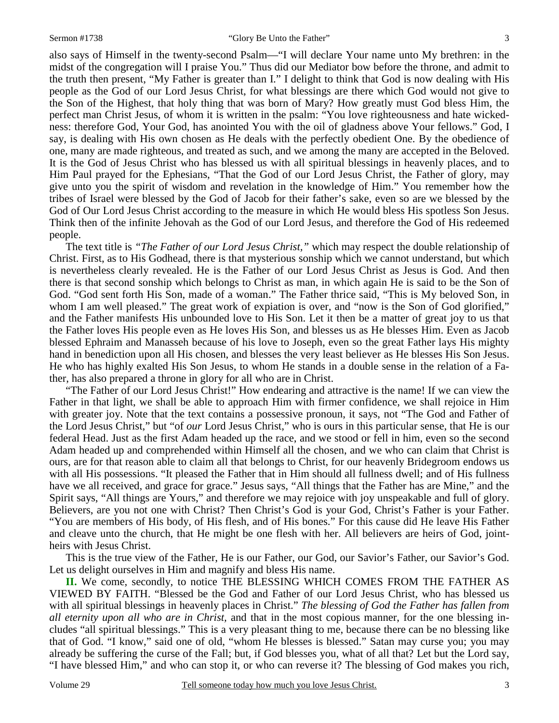also says of Himself in the twenty-second Psalm—"I will declare Your name unto My brethren: in the midst of the congregation will I praise You." Thus did our Mediator bow before the throne, and admit to the truth then present, "My Father is greater than I." I delight to think that God is now dealing with His people as the God of our Lord Jesus Christ, for what blessings are there which God would not give to the Son of the Highest, that holy thing that was born of Mary? How greatly must God bless Him, the perfect man Christ Jesus, of whom it is written in the psalm: "You love righteousness and hate wickedness: therefore God, Your God, has anointed You with the oil of gladness above Your fellows." God, I say, is dealing with His own chosen as He deals with the perfectly obedient One. By the obedience of one, many are made righteous, and treated as such, and we among the many are accepted in the Beloved. It is the God of Jesus Christ who has blessed us with all spiritual blessings in heavenly places, and to Him Paul prayed for the Ephesians, "That the God of our Lord Jesus Christ, the Father of glory, may give unto you the spirit of wisdom and revelation in the knowledge of Him." You remember how the tribes of Israel were blessed by the God of Jacob for their father's sake, even so are we blessed by the God of Our Lord Jesus Christ according to the measure in which He would bless His spotless Son Jesus. Think then of the infinite Jehovah as the God of our Lord Jesus, and therefore the God of His redeemed people.

 The text title is *"The Father of our Lord Jesus Christ,"* which may respect the double relationship of Christ. First, as to His Godhead, there is that mysterious sonship which we cannot understand, but which is nevertheless clearly revealed. He is the Father of our Lord Jesus Christ as Jesus is God. And then there is that second sonship which belongs to Christ as man, in which again He is said to be the Son of God. "God sent forth His Son, made of a woman." The Father thrice said, "This is My beloved Son, in whom I am well pleased." The great work of expiation is over, and "now is the Son of God glorified," and the Father manifests His unbounded love to His Son. Let it then be a matter of great joy to us that the Father loves His people even as He loves His Son, and blesses us as He blesses Him. Even as Jacob blessed Ephraim and Manasseh because of his love to Joseph, even so the great Father lays His mighty hand in benediction upon all His chosen, and blesses the very least believer as He blesses His Son Jesus. He who has highly exalted His Son Jesus, to whom He stands in a double sense in the relation of a Father, has also prepared a throne in glory for all who are in Christ.

 "The Father of our Lord Jesus Christ!" How endearing and attractive is the name! If we can view the Father in that light, we shall be able to approach Him with firmer confidence, we shall rejoice in Him with greater joy. Note that the text contains a possessive pronoun, it says, not "The God and Father of the Lord Jesus Christ," but "of *our* Lord Jesus Christ," who is ours in this particular sense, that He is our federal Head. Just as the first Adam headed up the race, and we stood or fell in him, even so the second Adam headed up and comprehended within Himself all the chosen, and we who can claim that Christ is ours, are for that reason able to claim all that belongs to Christ, for our heavenly Bridegroom endows us with all His possessions. "It pleased the Father that in Him should all fullness dwell; and of His fullness have we all received, and grace for grace." Jesus says, "All things that the Father has are Mine," and the Spirit says, "All things are Yours," and therefore we may rejoice with joy unspeakable and full of glory. Believers, are you not one with Christ? Then Christ's God is your God, Christ's Father is your Father. "You are members of His body, of His flesh, and of His bones." For this cause did He leave His Father and cleave unto the church, that He might be one flesh with her. All believers are heirs of God, jointheirs with Jesus Christ.

 This is the true view of the Father, He is our Father, our God, our Savior's Father, our Savior's God. Let us delight ourselves in Him and magnify and bless His name.

**II.** We come, secondly, to notice THE BLESSING WHICH COMES FROM THE FATHER AS VIEWED BY FAITH. "Blessed be the God and Father of our Lord Jesus Christ, who has blessed us with all spiritual blessings in heavenly places in Christ." *The blessing of God the Father has fallen from all eternity upon all who are in Christ,* and that in the most copious manner, for the one blessing includes "all spiritual blessings." This is a very pleasant thing to me, because there can be no blessing like that of God. "I know," said one of old, "whom He blesses is blessed." Satan may curse you; you may already be suffering the curse of the Fall; but, if God blesses you, what of all that? Let but the Lord say, "I have blessed Him," and who can stop it, or who can reverse it? The blessing of God makes you rich,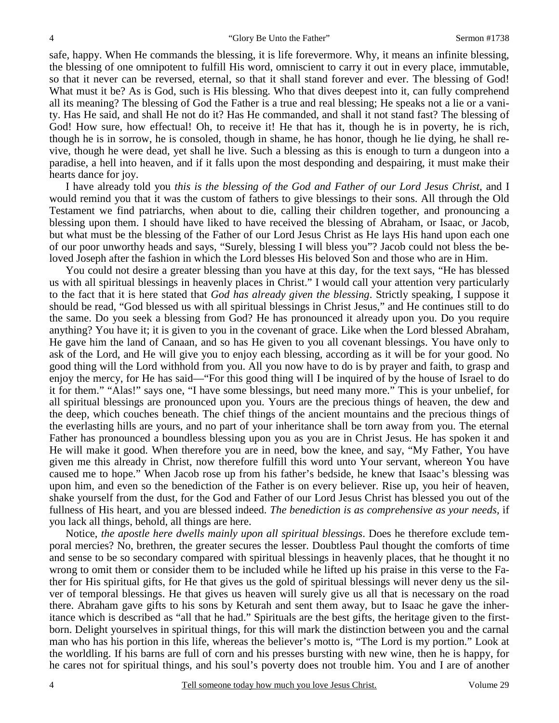safe, happy. When He commands the blessing, it is life forevermore. Why, it means an infinite blessing, the blessing of one omnipotent to fulfill His word, omniscient to carry it out in every place, immutable, so that it never can be reversed, eternal, so that it shall stand forever and ever. The blessing of God! What must it be? As is God, such is His blessing. Who that dives deepest into it, can fully comprehend all its meaning? The blessing of God the Father is a true and real blessing; He speaks not a lie or a vanity. Has He said, and shall He not do it? Has He commanded, and shall it not stand fast? The blessing of God! How sure, how effectual! Oh, to receive it! He that has it, though he is in poverty, he is rich, though he is in sorrow, he is consoled, though in shame, he has honor, though he lie dying, he shall revive, though he were dead, yet shall he live. Such a blessing as this is enough to turn a dungeon into a paradise, a hell into heaven, and if it falls upon the most desponding and despairing, it must make their hearts dance for joy.

 I have already told you *this is the blessing of the God and Father of our Lord Jesus Christ,* and I would remind you that it was the custom of fathers to give blessings to their sons. All through the Old Testament we find patriarchs, when about to die, calling their children together, and pronouncing a blessing upon them. I should have liked to have received the blessing of Abraham, or Isaac, or Jacob, but what must be the blessing of the Father of our Lord Jesus Christ as He lays His hand upon each one of our poor unworthy heads and says, "Surely, blessing I will bless you"? Jacob could not bless the beloved Joseph after the fashion in which the Lord blesses His beloved Son and those who are in Him.

 You could not desire a greater blessing than you have at this day, for the text says, "He has blessed us with all spiritual blessings in heavenly places in Christ." I would call your attention very particularly to the fact that it is here stated that *God has already given the blessing*. Strictly speaking, I suppose it should be read, "God blessed us with all spiritual blessings in Christ Jesus," and He continues still to do the same. Do you seek a blessing from God? He has pronounced it already upon you. Do you require anything? You have it; it is given to you in the covenant of grace. Like when the Lord blessed Abraham, He gave him the land of Canaan, and so has He given to you all covenant blessings. You have only to ask of the Lord, and He will give you to enjoy each blessing, according as it will be for your good. No good thing will the Lord withhold from you. All you now have to do is by prayer and faith, to grasp and enjoy the mercy, for He has said—"For this good thing will I be inquired of by the house of Israel to do it for them." "Alas!" says one, "I have some blessings, but need many more." This is your unbelief, for all spiritual blessings are pronounced upon you. Yours are the precious things of heaven, the dew and the deep, which couches beneath. The chief things of the ancient mountains and the precious things of the everlasting hills are yours, and no part of your inheritance shall be torn away from you. The eternal Father has pronounced a boundless blessing upon you as you are in Christ Jesus. He has spoken it and He will make it good. When therefore you are in need, bow the knee, and say, "My Father, You have given me this already in Christ, now therefore fulfill this word unto Your servant, whereon You have caused me to hope." When Jacob rose up from his father's bedside, he knew that Isaac's blessing was upon him, and even so the benediction of the Father is on every believer. Rise up, you heir of heaven, shake yourself from the dust, for the God and Father of our Lord Jesus Christ has blessed you out of the fullness of His heart, and you are blessed indeed. *The benediction is as comprehensive as your needs,* if you lack all things, behold, all things are here.

 Notice, *the apostle here dwells mainly upon all spiritual blessings*. Does he therefore exclude temporal mercies? No, brethren, the greater secures the lesser. Doubtless Paul thought the comforts of time and sense to be so secondary compared with spiritual blessings in heavenly places, that he thought it no wrong to omit them or consider them to be included while he lifted up his praise in this verse to the Father for His spiritual gifts, for He that gives us the gold of spiritual blessings will never deny us the silver of temporal blessings. He that gives us heaven will surely give us all that is necessary on the road there. Abraham gave gifts to his sons by Keturah and sent them away, but to Isaac he gave the inheritance which is described as "all that he had." Spirituals are the best gifts, the heritage given to the firstborn. Delight yourselves in spiritual things, for this will mark the distinction between you and the carnal man who has his portion in this life, whereas the believer's motto is, "The Lord is my portion." Look at the worldling. If his barns are full of corn and his presses bursting with new wine, then he is happy, for he cares not for spiritual things, and his soul's poverty does not trouble him. You and I are of another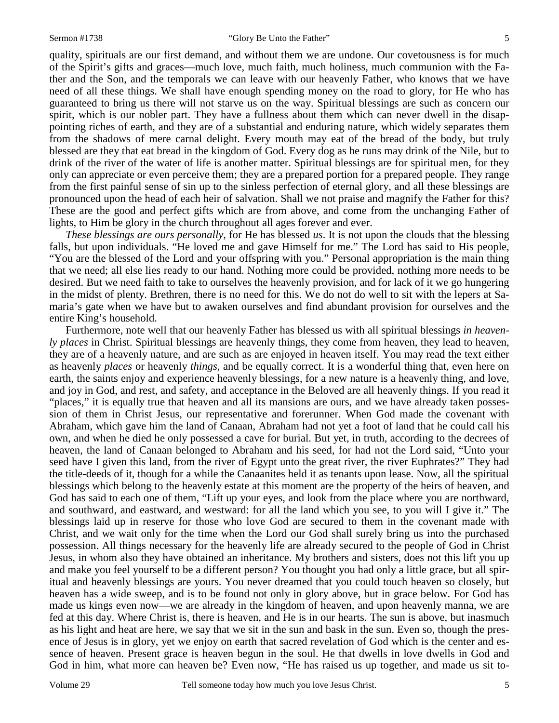quality, spirituals are our first demand, and without them we are undone. Our covetousness is for much of the Spirit's gifts and graces—much love, much faith, much holiness, much communion with the Father and the Son, and the temporals we can leave with our heavenly Father, who knows that we have need of all these things. We shall have enough spending money on the road to glory, for He who has guaranteed to bring us there will not starve us on the way. Spiritual blessings are such as concern our spirit, which is our nobler part. They have a fullness about them which can never dwell in the disappointing riches of earth, and they are of a substantial and enduring nature, which widely separates them from the shadows of mere carnal delight. Every mouth may eat of the bread of the body, but truly blessed are they that eat bread in the kingdom of God. Every dog as he runs may drink of the Nile, but to drink of the river of the water of life is another matter. Spiritual blessings are for spiritual men, for they only can appreciate or even perceive them; they are a prepared portion for a prepared people. They range from the first painful sense of sin up to the sinless perfection of eternal glory, and all these blessings are pronounced upon the head of each heir of salvation. Shall we not praise and magnify the Father for this? These are the good and perfect gifts which are from above, and come from the unchanging Father of lights, to Him be glory in the church throughout all ages forever and ever.

*These blessings are ours personally,* for He has blessed *us*. It is not upon the clouds that the blessing falls, but upon individuals. "He loved me and gave Himself for me." The Lord has said to His people, "You are the blessed of the Lord and your offspring with you." Personal appropriation is the main thing that we need; all else lies ready to our hand. Nothing more could be provided, nothing more needs to be desired. But we need faith to take to ourselves the heavenly provision, and for lack of it we go hungering in the midst of plenty. Brethren, there is no need for this. We do not do well to sit with the lepers at Samaria's gate when we have but to awaken ourselves and find abundant provision for ourselves and the entire King's household.

 Furthermore, note well that our heavenly Father has blessed us with all spiritual blessings *in heavenly places* in Christ. Spiritual blessings are heavenly things, they come from heaven, they lead to heaven, they are of a heavenly nature, and are such as are enjoyed in heaven itself. You may read the text either as heavenly *places* or heavenly *things*, and be equally correct. It is a wonderful thing that, even here on earth, the saints enjoy and experience heavenly blessings, for a new nature is a heavenly thing, and love, and joy in God, and rest, and safety, and acceptance in the Beloved are all heavenly things. If you read it "places," it is equally true that heaven and all its mansions are ours, and we have already taken possession of them in Christ Jesus, our representative and forerunner. When God made the covenant with Abraham, which gave him the land of Canaan, Abraham had not yet a foot of land that he could call his own, and when he died he only possessed a cave for burial. But yet, in truth, according to the decrees of heaven, the land of Canaan belonged to Abraham and his seed, for had not the Lord said, "Unto your seed have I given this land, from the river of Egypt unto the great river, the river Euphrates?" They had the title-deeds of it, though for a while the Canaanites held it as tenants upon lease. Now, all the spiritual blessings which belong to the heavenly estate at this moment are the property of the heirs of heaven, and God has said to each one of them, "Lift up your eyes, and look from the place where you are northward, and southward, and eastward, and westward: for all the land which you see, to you will I give it." The blessings laid up in reserve for those who love God are secured to them in the covenant made with Christ, and we wait only for the time when the Lord our God shall surely bring us into the purchased possession. All things necessary for the heavenly life are already secured to the people of God in Christ Jesus, in whom also they have obtained an inheritance. My brothers and sisters, does not this lift you up and make you feel yourself to be a different person? You thought you had only a little grace, but all spiritual and heavenly blessings are yours. You never dreamed that you could touch heaven so closely, but heaven has a wide sweep, and is to be found not only in glory above, but in grace below. For God has made us kings even now—we are already in the kingdom of heaven, and upon heavenly manna, we are fed at this day. Where Christ is, there is heaven, and He is in our hearts. The sun is above, but inasmuch as his light and heat are here, we say that we sit in the sun and bask in the sun. Even so, though the presence of Jesus is in glory, yet we enjoy on earth that sacred revelation of God which is the center and essence of heaven. Present grace is heaven begun in the soul. He that dwells in love dwells in God and God in him, what more can heaven be? Even now, "He has raised us up together, and made us sit to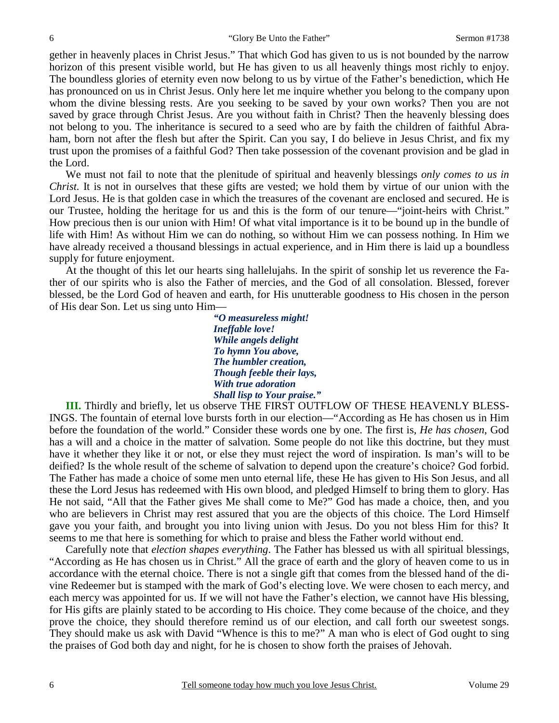gether in heavenly places in Christ Jesus." That which God has given to us is not bounded by the narrow horizon of this present visible world, but He has given to us all heavenly things most richly to enjoy. The boundless glories of eternity even now belong to us by virtue of the Father's benediction, which He has pronounced on us in Christ Jesus. Only here let me inquire whether you belong to the company upon whom the divine blessing rests. Are you seeking to be saved by your own works? Then you are not saved by grace through Christ Jesus. Are you without faith in Christ? Then the heavenly blessing does not belong to you. The inheritance is secured to a seed who are by faith the children of faithful Abraham, born not after the flesh but after the Spirit. Can you say, I do believe in Jesus Christ, and fix my trust upon the promises of a faithful God? Then take possession of the covenant provision and be glad in the Lord.

 We must not fail to note that the plenitude of spiritual and heavenly blessings *only comes to us in Christ.* It is not in ourselves that these gifts are vested; we hold them by virtue of our union with the Lord Jesus. He is that golden case in which the treasures of the covenant are enclosed and secured. He is our Trustee, holding the heritage for us and this is the form of our tenure—"joint-heirs with Christ." How precious then is our union with Him! Of what vital importance is it to be bound up in the bundle of life with Him! As without Him we can do nothing, so without Him we can possess nothing. In Him we have already received a thousand blessings in actual experience, and in Him there is laid up a boundless supply for future enjoyment.

 At the thought of this let our hearts sing hallelujahs. In the spirit of sonship let us reverence the Father of our spirits who is also the Father of mercies, and the God of all consolation. Blessed, forever blessed, be the Lord God of heaven and earth, for His unutterable goodness to His chosen in the person of His dear Son. Let us sing unto Him—

> *"O measureless might! Ineffable love! While angels delight To hymn You above, The humbler creation, Though feeble their lays, With true adoration Shall lisp to Your praise."*

**III.** Thirdly and briefly, let us observe THE FIRST OUTFLOW OF THESE HEAVENLY BLESS-INGS. The fountain of eternal love bursts forth in our election—"According as He has chosen us in Him before the foundation of the world." Consider these words one by one. The first is, *He has chosen*, God has a will and a choice in the matter of salvation. Some people do not like this doctrine, but they must have it whether they like it or not, or else they must reject the word of inspiration. Is man's will to be deified? Is the whole result of the scheme of salvation to depend upon the creature's choice? God forbid. The Father has made a choice of some men unto eternal life, these He has given to His Son Jesus, and all these the Lord Jesus has redeemed with His own blood, and pledged Himself to bring them to glory. Has He not said, "All that the Father gives Me shall come to Me?" God has made a choice, then, and you who are believers in Christ may rest assured that you are the objects of this choice. The Lord Himself gave you your faith, and brought you into living union with Jesus. Do you not bless Him for this? It seems to me that here is something for which to praise and bless the Father world without end.

 Carefully note that *election shapes everything*. The Father has blessed us with all spiritual blessings, "According as He has chosen us in Christ." All the grace of earth and the glory of heaven come to us in accordance with the eternal choice. There is not a single gift that comes from the blessed hand of the divine Redeemer but is stamped with the mark of God's electing love. We were chosen to each mercy, and each mercy was appointed for us. If we will not have the Father's election, we cannot have His blessing, for His gifts are plainly stated to be according to His choice. They come because of the choice, and they prove the choice, they should therefore remind us of our election, and call forth our sweetest songs. They should make us ask with David "Whence is this to me?" A man who is elect of God ought to sing the praises of God both day and night, for he is chosen to show forth the praises of Jehovah.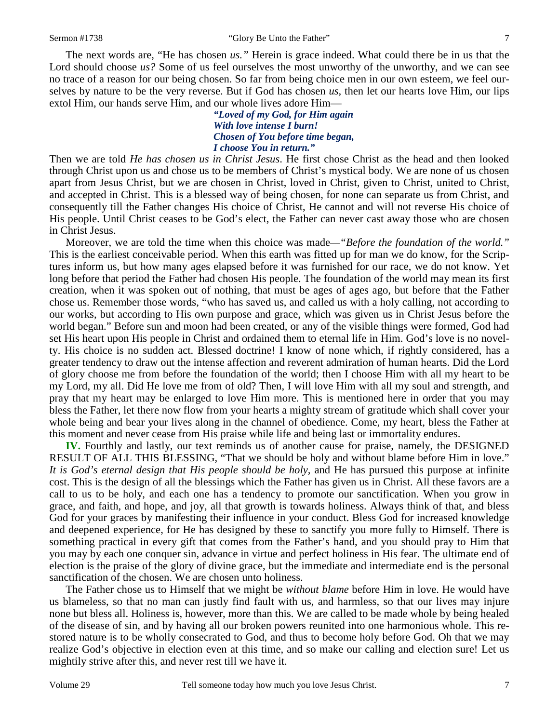The next words are, "He has chosen *us."* Herein is grace indeed. What could there be in us that the Lord should choose *us?* Some of us feel ourselves the most unworthy of the unworthy, and we can see no trace of a reason for our being chosen. So far from being choice men in our own esteem, we feel ourselves by nature to be the very reverse. But if God has chosen *us,* then let our hearts love Him, our lips extol Him, our hands serve Him, and our whole lives adore Him—

> *"Loved of my God, for Him again With love intense I burn! Chosen of You before time began, I choose You in return."*

Then we are told *He has chosen us in Christ Jesus*. He first chose Christ as the head and then looked through Christ upon us and chose us to be members of Christ's mystical body. We are none of us chosen apart from Jesus Christ, but we are chosen in Christ, loved in Christ, given to Christ, united to Christ, and accepted in Christ. This is a blessed way of being chosen, for none can separate us from Christ, and consequently till the Father changes His choice of Christ, He cannot and will not reverse His choice of His people. Until Christ ceases to be God's elect, the Father can never cast away those who are chosen in Christ Jesus.

 Moreover, we are told the time when this choice was made*—"Before the foundation of the world."* This is the earliest conceivable period. When this earth was fitted up for man we do know, for the Scriptures inform us, but how many ages elapsed before it was furnished for our race, we do not know. Yet long before that period the Father had chosen His people. The foundation of the world may mean its first creation, when it was spoken out of nothing, that must be ages of ages ago, but before that the Father chose us. Remember those words, "who has saved us, and called us with a holy calling, not according to our works, but according to His own purpose and grace, which was given us in Christ Jesus before the world began." Before sun and moon had been created, or any of the visible things were formed, God had set His heart upon His people in Christ and ordained them to eternal life in Him. God's love is no novelty. His choice is no sudden act. Blessed doctrine! I know of none which, if rightly considered, has a greater tendency to draw out the intense affection and reverent admiration of human hearts. Did the Lord of glory choose me from before the foundation of the world; then I choose Him with all my heart to be my Lord, my all. Did He love me from of old? Then, I will love Him with all my soul and strength, and pray that my heart may be enlarged to love Him more. This is mentioned here in order that you may bless the Father, let there now flow from your hearts a mighty stream of gratitude which shall cover your whole being and bear your lives along in the channel of obedience. Come, my heart, bless the Father at this moment and never cease from His praise while life and being last or immortality endures.

**IV.** Fourthly and lastly, our text reminds us of another cause for praise, namely, the DESIGNED RESULT OF ALL THIS BLESSING, "That we should be holy and without blame before Him in love." *It is God's eternal design that His people should be holy,* and He has pursued this purpose at infinite cost. This is the design of all the blessings which the Father has given us in Christ. All these favors are a call to us to be holy, and each one has a tendency to promote our sanctification. When you grow in grace, and faith, and hope, and joy, all that growth is towards holiness. Always think of that, and bless God for your graces by manifesting their influence in your conduct. Bless God for increased knowledge and deepened experience, for He has designed by these to sanctify you more fully to Himself. There is something practical in every gift that comes from the Father's hand, and you should pray to Him that you may by each one conquer sin, advance in virtue and perfect holiness in His fear. The ultimate end of election is the praise of the glory of divine grace, but the immediate and intermediate end is the personal sanctification of the chosen. We are chosen unto holiness.

 The Father chose us to Himself that we might be *without blame* before Him in love. He would have us blameless, so that no man can justly find fault with us, and harmless, so that our lives may injure none but bless all. Holiness is, however, more than this. We are called to be made whole by being healed of the disease of sin, and by having all our broken powers reunited into one harmonious whole. This restored nature is to be wholly consecrated to God, and thus to become holy before God. Oh that we may realize God's objective in election even at this time, and so make our calling and election sure! Let us mightily strive after this, and never rest till we have it.